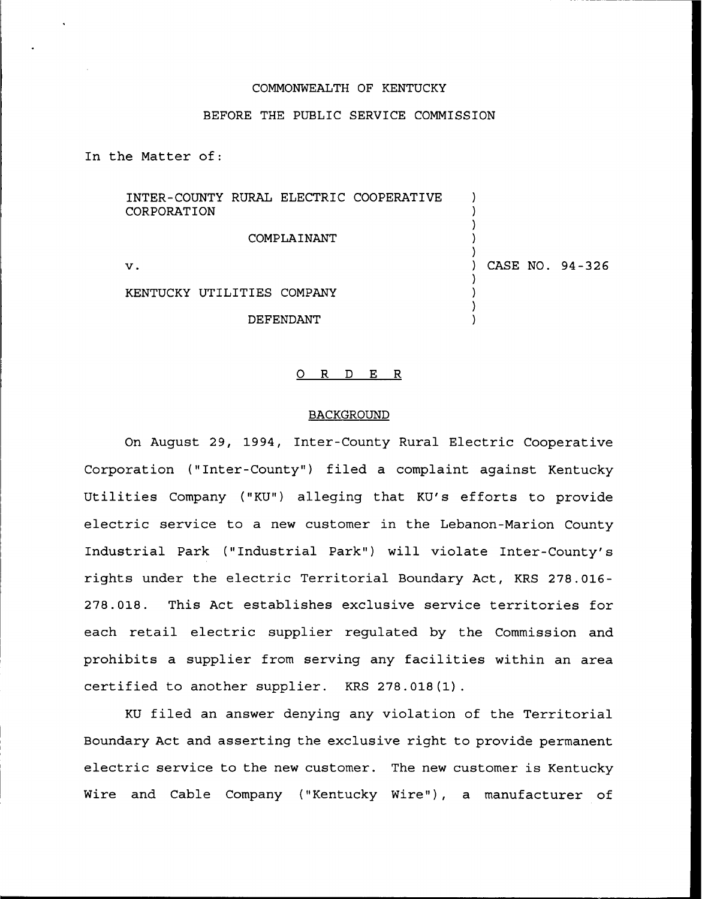## COMMONWEALTH OF KENTUCKY

# BEFORE THE PUBLIC SERVICE COMMISSION

In the Matter of:

INTER-COUNTY RURAL ELECTRIC COOPERATIVE ) CORPORATION ) ) COMPLAINANT ) ) ) CASE NO. 94-326 v. ) )

> ) )

KENTUCKY UTILITIES COMPANY

DEFENDANT

#### 0 R <sup>D</sup> E R

### **BACKGROUND**

On August 29, 1994, Inter-County Rural Electric Cooperative Corporation ("Inter-County") filed a complaint against Kentucky Utilities Company ("KU") alleging that KU's efforts to provide electric service to a new customer in the Lebanon-Marion County Industrial Park ("Industrial Park") will violate Inter-County's rights under the electric Territorial Boundary Act, KRS 278.016- 278.018. This Act establishes exclusive service territories for each retail electric supplier regulated by the Commission and prohibits a supplier from serving any facilities within an area certified to another supplier. KRS 278.018(1).

KU filed an answer denying any violation of the Territorial Boundary Act and asserting the exclusive right to provide permanent electric service to the new customer. The new customer is Kentucky Wire and Cable Company ("Kentucky Wire"), a manufacturer of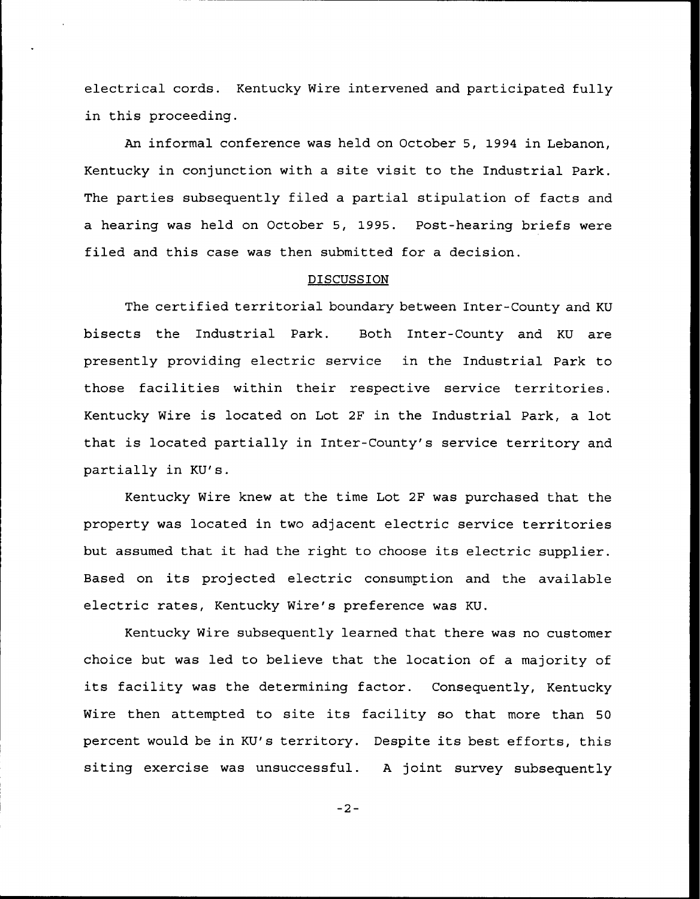electrical cords. Kentucky Wire intervened and participated fully in this proceeding.

An informal conference was held on October 5, 1994 in Lebanon, Kentucky in conjunction with a site visit to the Industrial Park. The parties subsequently filed a partial stipulation of facts and a hearing was held on October 5, 1995. Post-hearing briefs were filed and this case was then submitted for a decision.

## DISCUSSION

The certified territorial boundary between Inter-County and KU bisects the Industrial Park. Both Inter-County and KU are presently providing electric service in the Industrial Park to those facilities within their respective service territories. Kentucky Wire is located on Lot 2F in the Industrial Park, a lot that is located partially in Inter-County's service territory and partially in KU's.

Kentucky Wire knew at the time Lot 2F was purchased that the property was located in two adjacent electric service territories but assumed that it had the right to choose its electric supplier. Based on its projected electric consumption and the available electric rates, Kentucky Wire's preference was KU.

Kentucky Wire subsequently learned that there was no customer choice but was led to believe that the location of a majority of its facility was the determining factor. Consequently, Kentucky Wire then attempted to site its facility so that more than <sup>50</sup> percent would be in KU's territory. Despite its best efforts, this siting exercise was unsuccessful. <sup>A</sup> joint survey subsequently

 $-2-$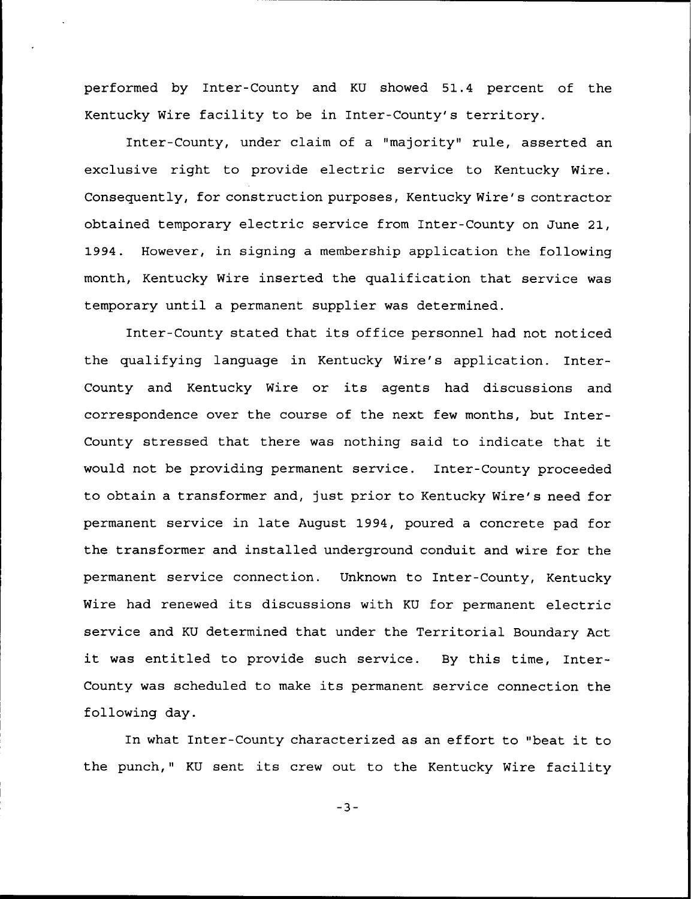performed by Inter-County and KU showed 51.4 percent of the Kentucky Wire facility to be in Inter-County's territory.

Inter-County, under claim of a "majority" rule, asserted an exclusive right to provide electric service to Kentucky Wire. Consequently, for construction purposes, Kentucky Wire's contractor obtained temporary electric service from Inter-County on June 21, 1994. However, in signing a membership application the following month, Kentucky Wire inserted the qualification that service was temporary until a permanent supplier was determined.

Inter-County stated that its office personnel had not noticed the qualifying language in Kentucky Wire's application. Inter-County and Kentucky Wire or its agents had discussions and correspondence over the course of the next few months, but Inter-County stressed that there was nothing said to indicate that it would not be providing permanent service. Inter-County proceeded to obtain a transformer and, just prior to Kentucky Wire's need for permanent service in late August 1994, poured a concrete pad for the transformer and installed underground conduit and wire for the permanent service connection. Unknown to Inter-County, Kentucky Wire had renewed its discussions with KU for permanent electric service and KU determined that under the Territorial Boundary Act it was entitled to provide such service. By this time, Inter-County was scheduled to make its permanent service connection the following day.

In what Inter-County characterized as an effort to "beat it to the punch," KU sent its crew out to the Kentucky Wire facility

 $-3-$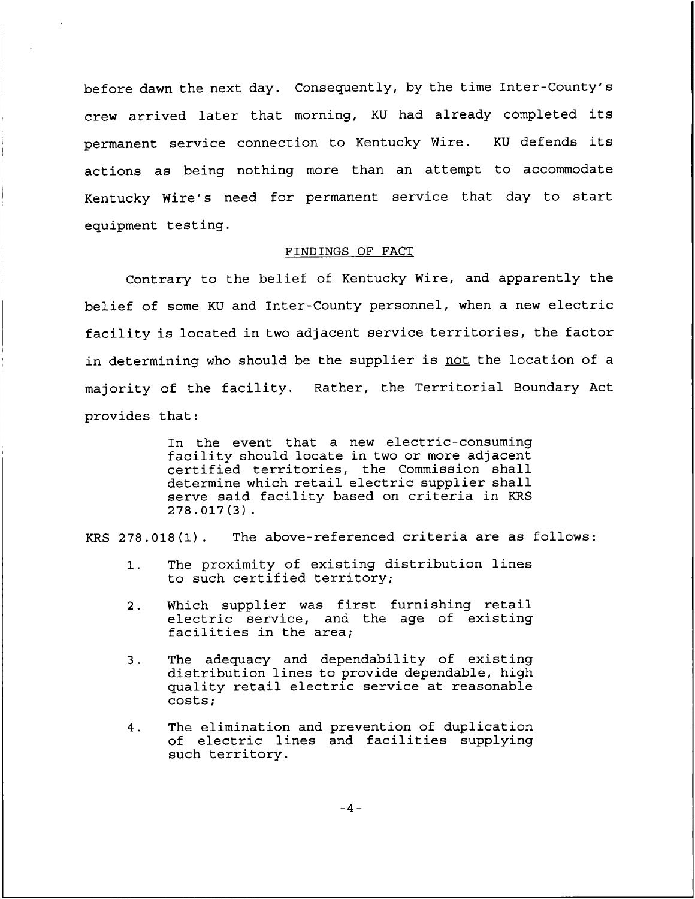before dawn the next day. Consequently, by the time Inter-County's crew arrived later that morning, KU had already completed its permanent service connection to Kentucky Wire. KU defends its actions as being nothing more than an attempt to accommodate Kentucky Wire's need for permanent service that day to start equipment testing.

## FINDINGS OF FACT

Contrary to the belief of Kentucky Wire, and apparently the belief of some KU and Inter-County personnel, when a new electric facility is located in two adjacent service territories, the factor in determining who should be the supplier is not the location of a majority of the facility. Rather, the Territorial Boundary Act provides that:

> In the event that a new electric-consuming facility should locate in two or more adjacent certified territories, the Commission shall determine which retail electric supplier shall serve said facility based on criteria in KRS 278.017(3).

KRS 278.018(1). The above-referenced criteria are as follows:

- 1. The proximity of existing distribution lines to such certified territory;
- 2. Which supplier was first furnishing retail electric service, and the age of existing facilities in the area;
- The adequacy and dependability of existing  $3.$ distribution lines to provide dependable, high quality retail electric service at reasonable costs;
- The elimination and prevention of duplication  $4.$ of electric lines and facilities supplying such territory.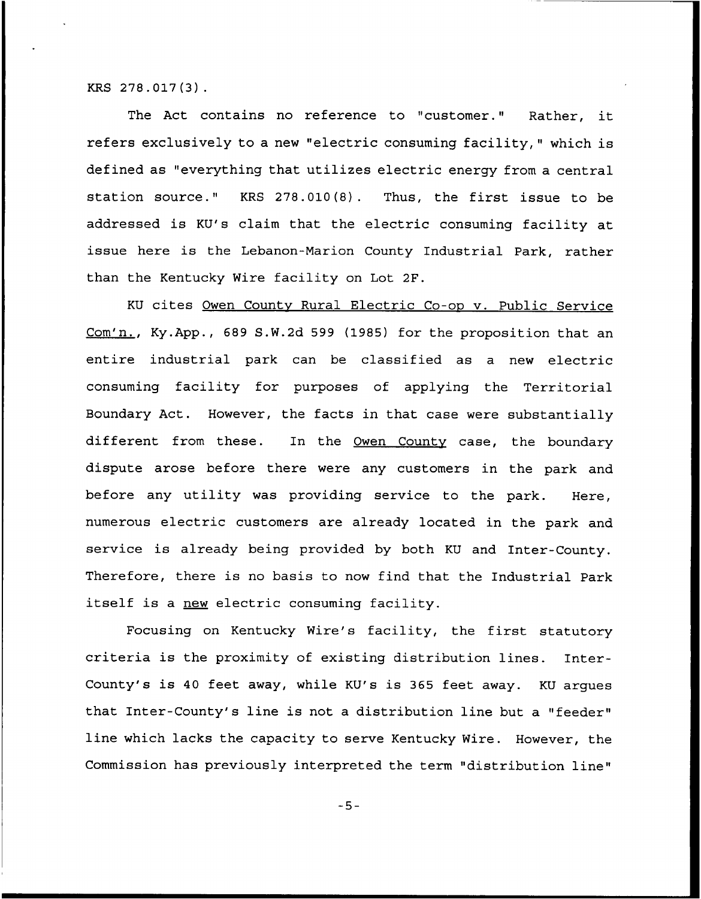KRS 278.017(3) .

The Act contains no reference to "customer." Rather, it refers exclusively to a new "electric consuming facility," which is defined as "everything that utilizes electric energy from a central station source." KRS 278.010(8). Thus, the first issue to be addressed is KU's claim that the electric consuming facility at issue here is the Lebanon-Marion County Industrial Park, rather than the Kentucky Wire facility on Lot 2F.

KU cites Owen County Rural Electric Co-op v. Public Service Com'n., Ky.App., 689 S.W.2d 599 (1985) for the proposition that an entire industrial park can be classified as a new electric consuming facility for purposes of applying the Territorial Boundary Act. However, the facts in that case were substantially different from these. In the Owen County case, the boundary dispute arose before there were any customers in the park and before any utility was providing service to the park. Here, numerous electric customers are already located in the park and service is already being provided by both KU and Inter-County. Therefore, there is no basis to now find that the Industrial Park itself is a new electric consuming facility.

Focusing on Kentucky Wire's facility, the first statutory criteria is the proximity of existing distribution lines. Inter-County's is <sup>40</sup> feet away, while KU's is 365 feet away. KU argues that Inter-County's line is not a distribution line but a "feeder" line which lacks the capacity to serve Kentucky Wire. However, the Commission has previously interpreted the term "distribution line"

 $-5-$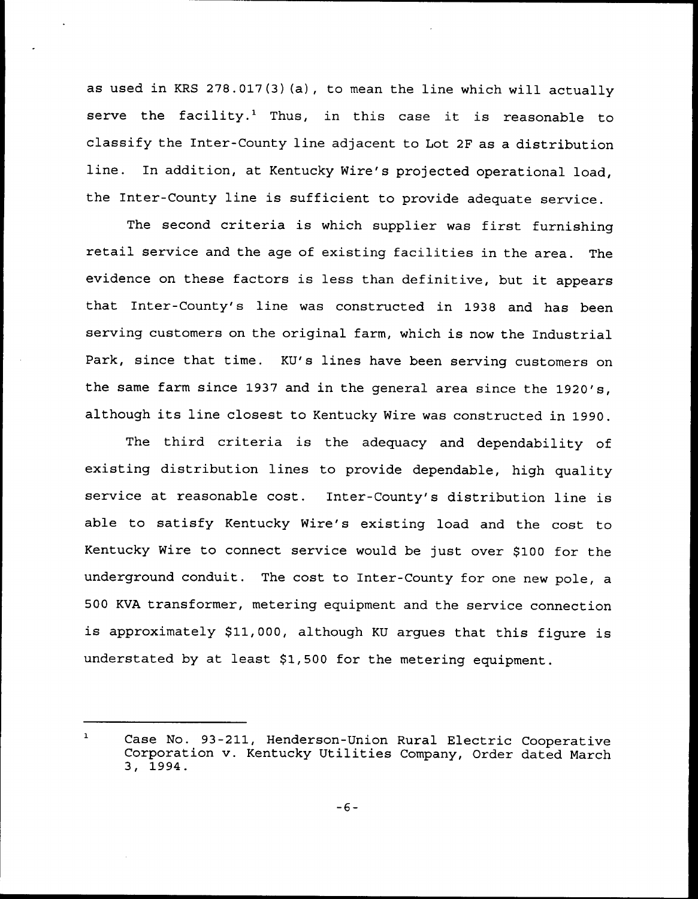as used in KRS 278.017{3)(a), to mean the line which will actually serve the facility.<sup>1</sup> Thus, in this case it is reasonable to classify the Inter-County line adjacent to Lot 2F as a distribution line. In addition, at Kentucky Wire's projected operational load, the Inter-County line is sufficient to provide adequate service.

The second criteria is which supplier was first furnishing retail service and the age of existing facilities in the area. The evidence on these factors is less than definitive, but it appears that Inter-County's line was constructed in 1938 and has been serving customers on the original farm, which is now the Industrial Park, since that time. KU's lines have been serving customers on the same farm since 1937 and in the general area since the 1920's, although its line closest to Kentucky Wire was constructed in 1990.

The third criteria is the adequacy and dependability of existing distribution lines to provide dependable, high quality service at reasonable cost. Inter-County's distribution line is able to satisfy Kentucky Wire's existing load and the cost to Kentucky Wire to connect service would be just over \$100 for the underground conduit. The cost to Inter-County for one new pole, a 500 KVA transformer, metering equipment and the service connection is approximately \$11,000, although KU argues that this figure is understated by at least \$1,500 for the metering equipment.

 $\mathbf{1}$ Case No. 93-211, Henderson-Union Rural Electric Cooperative Corporation v. Kentucky Utilities Company, Order dated March 3, 1994.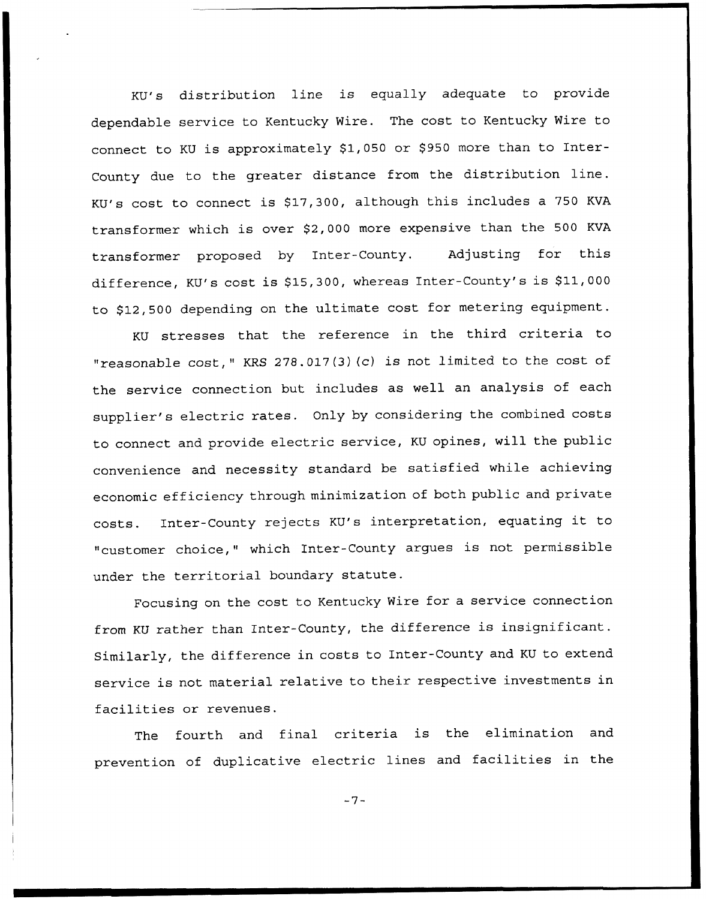KU's distribution line is equally adequate to provide dependable service to Kentucky Wire. The cost to Kentucky Wire to connect to KU is approximately \$1,050 or \$950 more than to Inter-County due to the greater distance from the distribution line. KU's cost to connect is \$17,300, although this includes a 750 KVA transformer which is over \$2,000 more expensive than the 500 KVA transformer proposed by Inter-County. Adjusting for this difference, KU's cost is \$15,300, whereas Inter-County's is \$11,000 to \$12,500 depending on the ultimate cost for metering equipment.

KU stresses that the reference in the third criteria to "reasonable cost," KRS 278.017(3)(c) is not limited to the cost of the service connection but includes as well an analysis of each supplier's electric rates. Only by considering the combined costs to connect and provide electric service, KU opines, will the public convenience and necessity standard be satisfied while achieving economic efficiency through minimization of both public and private costs. Inter-County rejects KU's interpretation, equating it to "customer choice," which Inter-County argues is not permissible under the territorial boundary statute.

Focusing on the cost to Kentucky Wire for a service connection from KU rather than Inter-County, the difference is insignificant. Similarly, the difference in costs to Inter-County and KU to extend service is not material relative to their respective investments in facilities or revenues.

The fourth and final criteria is the elimination and prevention of duplicative electric lines and facilities in the

 $-7-$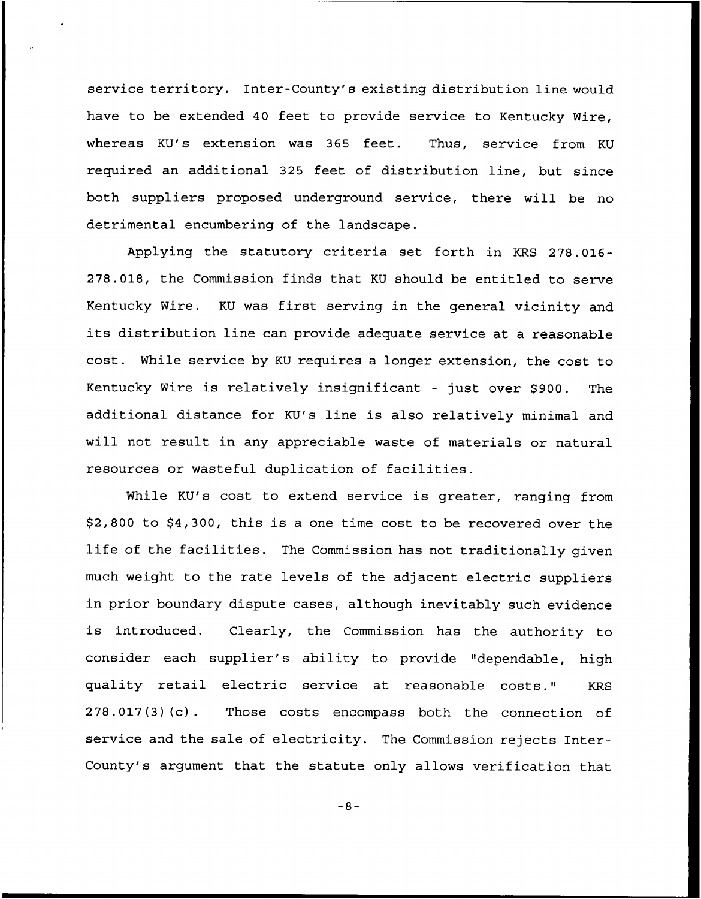service territory. Inter-County's existing distribution line would have to be extended 40 feet to provide service to Kentucky Wire, whereas KU's extension was 365 feet. Thus, service from KU required an additional 325 feet of distribution line, but since both suppliers proposed underground service, there will be no detrimental encumbering of the landscape.

Applying the statutory criteria set forth in KRS 278.016- 278.018, the Commission finds that KU should be entitled to serve Kentucky Wire. KU was first serving in the general vicinity and its distribution line can provide adequate service at a reasonable cost. While service by KU requires a longer extension, the cost to Kentucky Wire is relatively insignificant - just over \$900. The additional distance for KU's line is also relatively minimal and will not result in any appreciable waste of materials or natural resources or wasteful duplication of facilities.

While KU's cost to extend service is greater, ranging from \$2,800 to \$4,300, this is a one time cost to be recovered over the life of the facilities. The Commission has not traditionally given much weight to the rate levels of the adjacent electric suppliers in prior boundary dispute cases, although inevitably such evidence is introduced. Clearly, the Commission has the authority to consider each supplier's ability to provide "dependable, high quality retail electric service at reasonable costs." KRS 278.017(3)(c). Those costs encompass both the connection of service and the sale of electricity. The Commission rejects Inter-County's argument that the statute only allows verification that

 $-8-$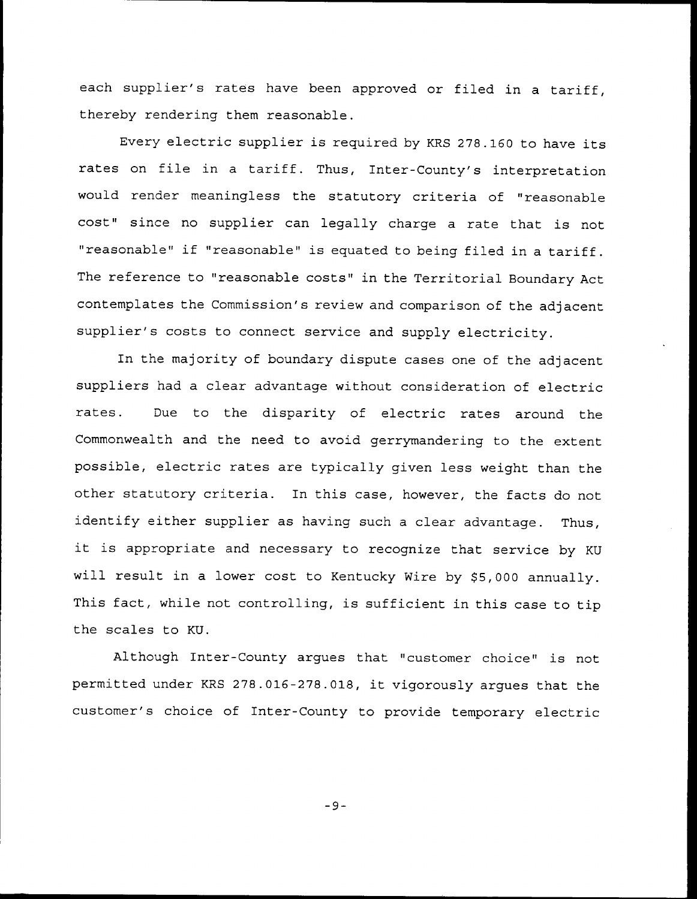each supplier's rates have been approved or filed in a tariff, thereby rendering them reasonable.

Every electric supplier is required by KRS 278.160 to have its rates on file in <sup>a</sup> tariff. Thus, Inter-County's interpretation would render meaningless the statutory criteria of "reasonable cost" since no supplier can legally charge <sup>a</sup> rate that is not "reasonable" if "reasonable" is equated to being filed in <sup>a</sup> tariff. The reference to "reasonable costs" in the Territorial Boundary Act contemplates the Commission's review and comparison of the adjacent supplier's costs to connect service and supply electricity.

In the majority of boundary dispute cases one of the adjacent suppliers had a clear advantage without consideration of electric rates. Due to the disparity of electric rates around the Commonwealth and the need to avoid gerrymandering to the extent possible, electric rates are typically given less weight than the other statutory criteria. In this case, however, the facts do not identify either supplier as having such a clear advantage. Thus, it is appropriate and necessary to recognize that service by KU will result in a lower cost to Kentucky Wire by \$5,000 annually. This fact, while not controlling, is sufficient in this case to tip the scales to KU.

Although Inter-County argues that "customer choice" is not permitted under KRS 278.016-278.018, it vigorously argues that the customer's choice of Inter-County to provide temporary electric

 $-9-$